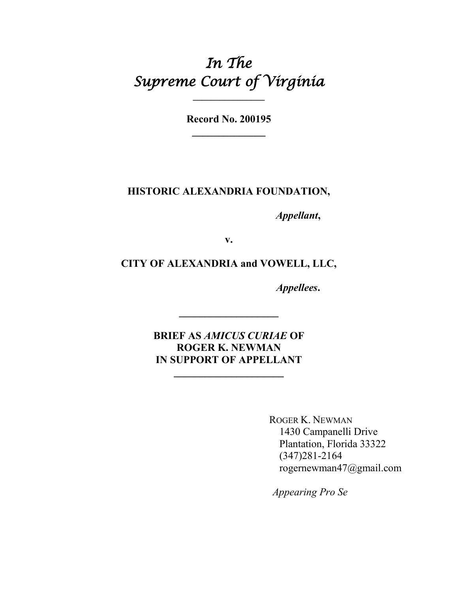# *In The Supreme Court of Virginia*

**Record No. 200195 \_\_\_\_\_\_\_\_\_\_\_\_\_\_**

**\_\_\_\_\_\_\_\_\_\_\_\_\_\_\_\_**

#### **HISTORIC ALEXANDRIA FOUNDATION,**

*Appellant***,**

**v.**

#### **CITY OF ALEXANDRIA and VOWELL, LLC,**

*Appellees***.**

**BRIEF AS** *AMICUS CURIAE* **OF ROGER K. NEWMAN IN SUPPORT OF APPELLANT**

**\_\_\_\_\_\_\_\_\_\_\_\_\_\_\_\_\_\_\_\_\_**

**\_\_\_\_\_\_\_\_\_\_\_\_\_\_\_\_\_\_\_**

ROGER K. NEWMAN 1430 Campanelli Drive Plantation, Florida 33322 (347)281-2164 rogernewman47@gmail.com

*Appearing Pro Se*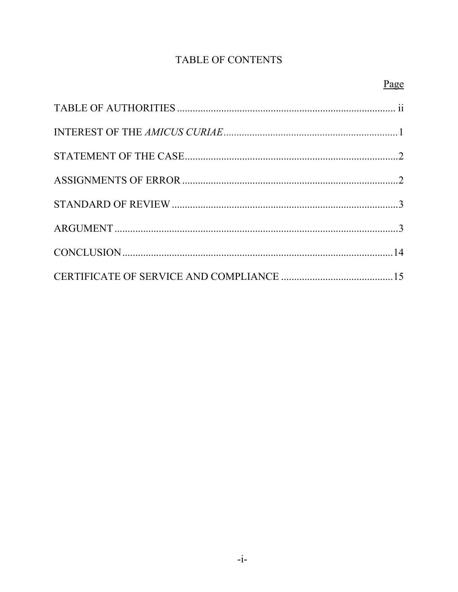### TABLE OF CONTENTS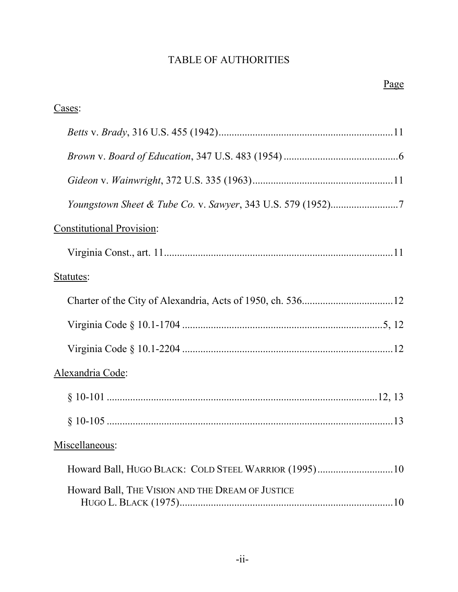### TABLE OF AUTHORITIES

| Cases:                                               |
|------------------------------------------------------|
|                                                      |
|                                                      |
|                                                      |
|                                                      |
| <b>Constitutional Provision:</b>                     |
|                                                      |
| Statutes:                                            |
|                                                      |
|                                                      |
|                                                      |
| Alexandria Code:                                     |
|                                                      |
|                                                      |
| Miscellaneous:                                       |
| Howard Ball, HUGO BLACK: COLD STEEL WARRIOR (1995)10 |
| Howard Ball, THE VISION AND THE DREAM OF JUSTICE     |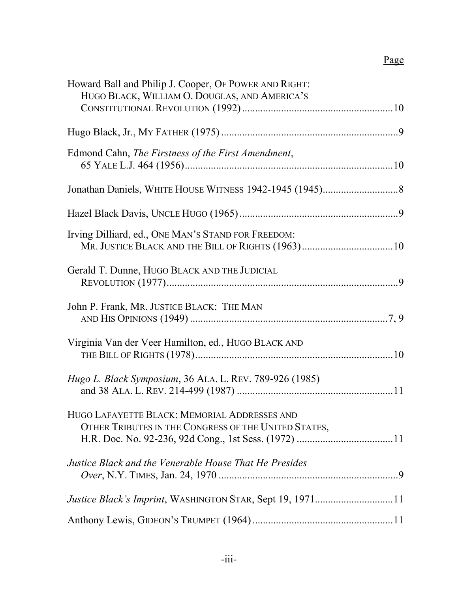## Page

| Howard Ball and Philip J. Cooper, OF POWER AND RIGHT:          |
|----------------------------------------------------------------|
| HUGO BLACK, WILLIAM O. DOUGLAS, AND AMERICA'S                  |
|                                                                |
|                                                                |
| Edmond Cahn, The Firstness of the First Amendment,             |
|                                                                |
|                                                                |
|                                                                |
| Irving Dilliard, ed., ONE MAN'S STAND FOR FREEDOM:             |
|                                                                |
| Gerald T. Dunne, HUGO BLACK AND THE JUDICIAL                   |
|                                                                |
| John P. Frank, MR. JUSTICE BLACK: THE MAN                      |
|                                                                |
| Virginia Van der Veer Hamilton, ed., HUGO BLACK AND            |
|                                                                |
| <i>Hugo L. Black Symposium, 36 ALA. L. REV. 789-926 (1985)</i> |
|                                                                |
| HUGO LAFAYETTE BLACK: MEMORIAL ADDRESSES AND                   |
| OTHER TRIBUTES IN THE CONGRESS OF THE UNITED STATES,           |
|                                                                |
| Justice Black and the Venerable House That He Presides         |
|                                                                |
| Justice Black's Imprint, WASHINGTON STAR, Sept 19, 197111      |
|                                                                |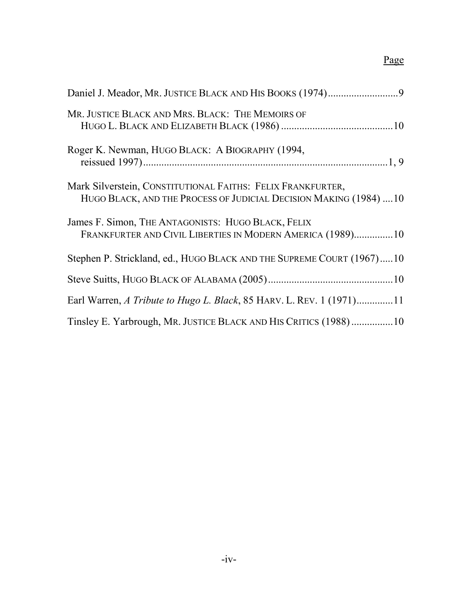## Page

| Mr. JUSTICE BLACK AND MRS. BLACK: THE MEMOIRS OF                                                                                  |
|-----------------------------------------------------------------------------------------------------------------------------------|
| Roger K. Newman, HUGO BLACK: A BIOGRAPHY (1994,                                                                                   |
| Mark Silverstein, CONSTITUTIONAL FAITHS: FELIX FRANKFURTER,<br>HUGO BLACK, AND THE PROCESS OF JUDICIAL DECISION MAKING (1984)  10 |
| James F. Simon, THE ANTAGONISTS: HUGO BLACK, FELIX<br>FRANKFURTER AND CIVIL LIBERTIES IN MODERN AMERICA (1989)10                  |
| Stephen P. Strickland, ed., HUGO BLACK AND THE SUPREME COURT (1967)10                                                             |
|                                                                                                                                   |
| Earl Warren, A Tribute to Hugo L. Black, 85 HARV. L. REV. 1 (1971)11                                                              |
| Tinsley E. Yarbrough, MR. JUSTICE BLACK AND HIS CRITICS (1988)10                                                                  |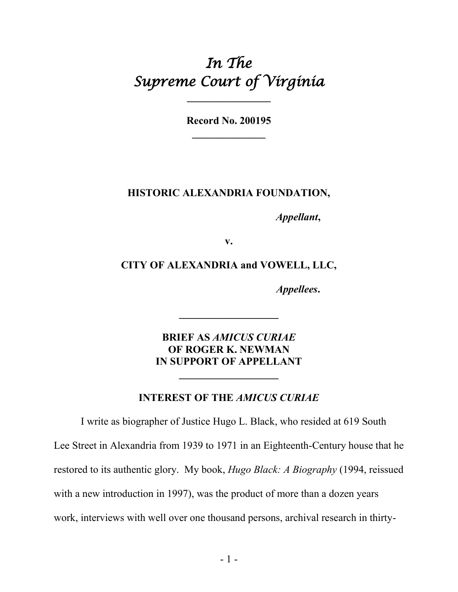# *In The Supreme Court of Virginia*

**Record No. 200195 \_\_\_\_\_\_\_\_\_\_\_\_\_\_**

#### **HISTORIC ALEXANDRIA FOUNDATION,**

*Appellant***,**

**v.**

**CITY OF ALEXANDRIA and VOWELL, LLC,**

*Appellees***.**

**BRIEF AS** *AMICUS CURIAE* **OF ROGER K. NEWMAN IN SUPPORT OF APPELLANT**

**\_\_\_\_\_\_\_\_\_\_\_\_\_\_\_\_\_\_\_**

**INTEREST OF THE** *AMICUS CURIAE*

**\_\_\_\_\_\_\_\_\_\_\_\_\_\_\_\_\_\_\_**

I write as biographer of Justice Hugo L. Black, who resided at 619 South Lee Street in Alexandria from 1939 to 1971 in an Eighteenth-Century house that he restored to its authentic glory. My book, *Hugo Black: A Biography* (1994, reissued with a new introduction in 1997), was the product of more than a dozen years work, interviews with well over one thousand persons, archival research in thirty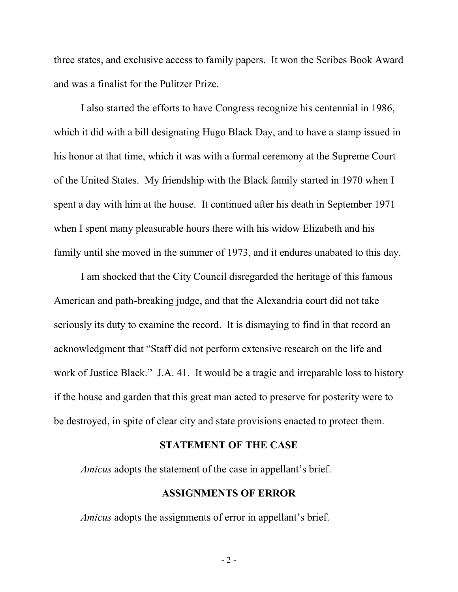three states, and exclusive access to family papers. It won the Scribes Book Award and was a finalist for the Pulitzer Prize.

I also started the efforts to have Congress recognize his centennial in 1986, which it did with a bill designating Hugo Black Day, and to have a stamp issued in his honor at that time, which it was with a formal ceremony at the Supreme Court of the United States. My friendship with the Black family started in 1970 when I spent a day with him at the house. It continued after his death in September 1971 when I spent many pleasurable hours there with his widow Elizabeth and his family until she moved in the summer of 1973, and it endures unabated to this day.

I am shocked that the City Council disregarded the heritage of this famous American and path-breaking judge, and that the Alexandria court did not take seriously its duty to examine the record. It is dismaying to find in that record an acknowledgment that "Staff did not perform extensive research on the life and work of Justice Black." J.A. 41. It would be a tragic and irreparable loss to history if the house and garden that this great man acted to preserve for posterity were to be destroyed, in spite of clear city and state provisions enacted to protect them.

#### **STATEMENT OF THE CASE**

*Amicus* adopts the statement of the case in appellant's brief.

#### **ASSIGNMENTS OF ERROR**

*Amicus* adopts the assignments of error in appellant's brief.

- 2 -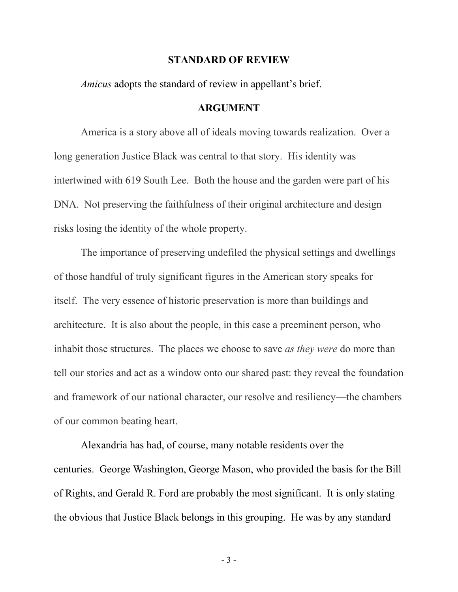#### **STANDARD OF REVIEW**

*Amicus* adopts the standard of review in appellant's brief.

#### **ARGUMENT**

America is a story above all of ideals moving towards realization. Over a long generation Justice Black was central to that story. His identity was intertwined with 619 South Lee. Both the house and the garden were part of his DNA. Not preserving the faithfulness of their original architecture and design risks losing the identity of the whole property.

The importance of preserving undefiled the physical settings and dwellings of those handful of truly significant figures in the American story speaks for itself. The very essence of historic preservation is more than buildings and architecture. It is also about the people, in this case a preeminent person, who inhabit those structures. The places we choose to save *as they were* do more than tell our stories and act as a window onto our shared past: they reveal the foundation and framework of our national character, our resolve and resiliency—the chambers of our common beating heart.

Alexandria has had, of course, many notable residents over the centuries. George Washington, George Mason, who provided the basis for the Bill of Rights, and Gerald R. Ford are probably the most significant. It is only stating the obvious that Justice Black belongs in this grouping. He was by any standard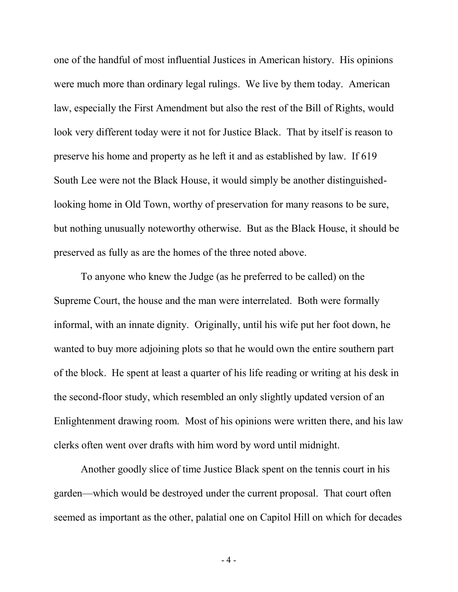one of the handful of most influential Justices in American history. His opinions were much more than ordinary legal rulings. We live by them today. American law, especially the First Amendment but also the rest of the Bill of Rights, would look very different today were it not for Justice Black. That by itself is reason to preserve his home and property as he left it and as established by law. If 619 South Lee were not the Black House, it would simply be another distinguishedlooking home in Old Town, worthy of preservation for many reasons to be sure, but nothing unusually noteworthy otherwise. But as the Black House, it should be preserved as fully as are the homes of the three noted above.

To anyone who knew the Judge (as he preferred to be called) on the Supreme Court, the house and the man were interrelated. Both were formally informal, with an innate dignity. Originally, until his wife put her foot down, he wanted to buy more adjoining plots so that he would own the entire southern part of the block. He spent at least a quarter of his life reading or writing at his desk in the second-floor study, which resembled an only slightly updated version of an Enlightenment drawing room. Most of his opinions were written there, and his law clerks often went over drafts with him word by word until midnight.

Another goodly slice of time Justice Black spent on the tennis court in his garden—which would be destroyed under the current proposal. That court often seemed as important as the other, palatial one on Capitol Hill on which for decades

- 4 -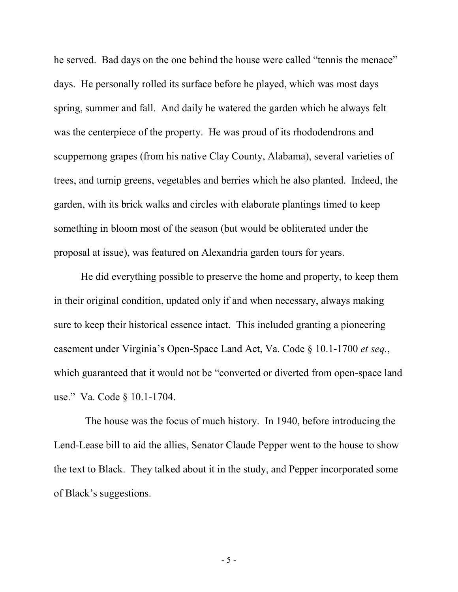he served. Bad days on the one behind the house were called "tennis the menace" days. He personally rolled its surface before he played, which was most days spring, summer and fall. And daily he watered the garden which he always felt was the centerpiece of the property. He was proud of its rhododendrons and scuppernong grapes (from his native Clay County, Alabama), several varieties of trees, and turnip greens, vegetables and berries which he also planted. Indeed, the garden, with its brick walks and circles with elaborate plantings timed to keep something in bloom most of the season (but would be obliterated under the proposal at issue), was featured on Alexandria garden tours for years.

He did everything possible to preserve the home and property, to keep them in their original condition, updated only if and when necessary, always making sure to keep their historical essence intact. This included granting a pioneering easement under Virginia's Open-Space Land Act, Va. Code § 10.1-1700 *et seq.*, which guaranteed that it would not be "converted or diverted from open-space land use." Va. Code § 10.1-1704.

 The house was the focus of much history. In 1940, before introducing the Lend-Lease bill to aid the allies, Senator Claude Pepper went to the house to show the text to Black. They talked about it in the study, and Pepper incorporated some of Black's suggestions.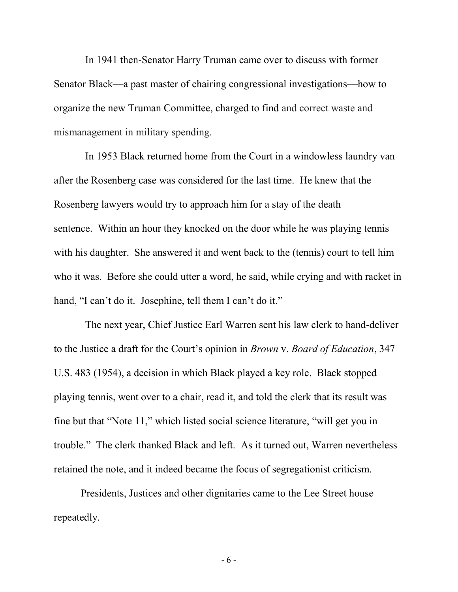In 1941 then-Senator Harry Truman came over to discuss with former Senator Black—a past master of chairing congressional investigations—how to organize the new Truman Committee, charged to find and correct waste and mismanagement in military spending.

 In 1953 Black returned home from the Court in a windowless laundry van after the Rosenberg case was considered for the last time. He knew that the Rosenberg lawyers would try to approach him for a stay of the death sentence. Within an hour they knocked on the door while he was playing tennis with his daughter. She answered it and went back to the (tennis) court to tell him who it was. Before she could utter a word, he said, while crying and with racket in hand, "I can't do it. Josephine, tell them I can't do it."

 The next year, Chief Justice Earl Warren sent his law clerk to hand-deliver to the Justice a draft for the Court's opinion in *Brown* v. *Board of Education*, 347 U.S. 483 (1954), a decision in which Black played a key role. Black stopped playing tennis, went over to a chair, read it, and told the clerk that its result was fine but that "Note 11," which listed social science literature, "will get you in trouble." The clerk thanked Black and left. As it turned out, Warren nevertheless retained the note, and it indeed became the focus of segregationist criticism.

Presidents, Justices and other dignitaries came to the Lee Street house repeatedly.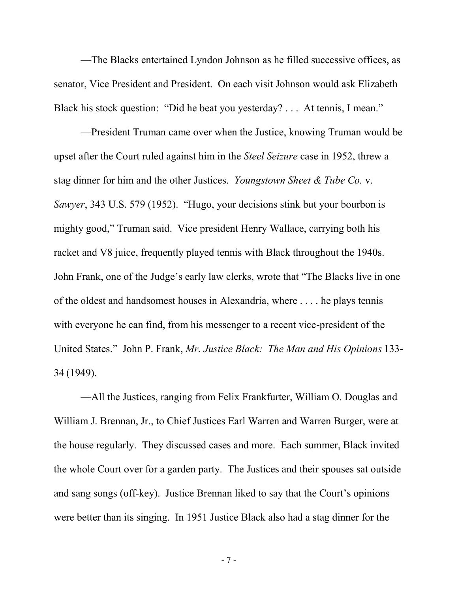—The Blacks entertained Lyndon Johnson as he filled successive offices, as senator, Vice President and President. On each visit Johnson would ask Elizabeth Black his stock question: "Did he beat you yesterday? . . . At tennis, I mean."

—President Truman came over when the Justice, knowing Truman would be upset after the Court ruled against him in the *Steel Seizure* case in 1952, threw a stag dinner for him and the other Justices. *Youngstown Sheet & Tube Co.* v. *Sawyer*, 343 U.S. 579 (1952). "Hugo, your decisions stink but your bourbon is mighty good," Truman said. Vice president Henry Wallace, carrying both his racket and V8 juice, frequently played tennis with Black throughout the 1940s. John Frank, one of the Judge's early law clerks, wrote that "The Blacks live in one of the oldest and handsomest houses in Alexandria, where . . . . he plays tennis with everyone he can find, from his messenger to a recent vice-president of the United States." John P. Frank, *Mr. Justice Black: The Man and His Opinions* 133- 34 (1949).

—All the Justices, ranging from Felix Frankfurter, William O. Douglas and William J. Brennan, Jr., to Chief Justices Earl Warren and Warren Burger, were at the house regularly. They discussed cases and more. Each summer, Black invited the whole Court over for a garden party. The Justices and their spouses sat outside and sang songs (off-key). Justice Brennan liked to say that the Court's opinions were better than its singing. In 1951 Justice Black also had a stag dinner for the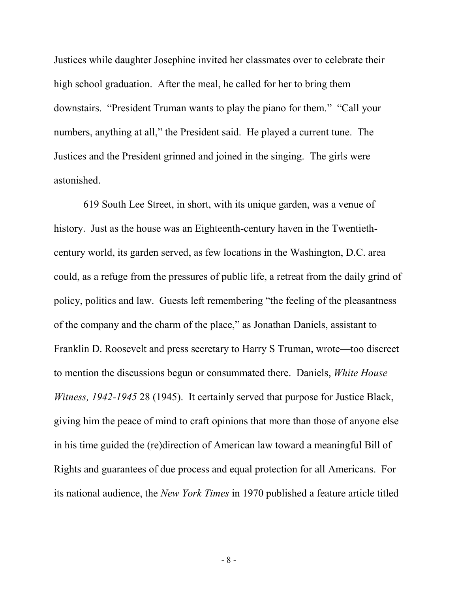Justices while daughter Josephine invited her classmates over to celebrate their high school graduation. After the meal, he called for her to bring them downstairs. "President Truman wants to play the piano for them." "Call your numbers, anything at all," the President said. He played a current tune. The Justices and the President grinned and joined in the singing. The girls were astonished.

619 South Lee Street, in short, with its unique garden, was a venue of history. Just as the house was an Eighteenth-century haven in the Twentiethcentury world, its garden served, as few locations in the Washington, D.C. area could, as a refuge from the pressures of public life, a retreat from the daily grind of policy, politics and law. Guests left remembering "the feeling of the pleasantness of the company and the charm of the place," as Jonathan Daniels, assistant to Franklin D. Roosevelt and press secretary to Harry S Truman, wrote—too discreet to mention the discussions begun or consummated there. Daniels, *White House Witness, 1942-1945* 28 (1945). It certainly served that purpose for Justice Black, giving him the peace of mind to craft opinions that more than those of anyone else in his time guided the (re)direction of American law toward a meaningful Bill of Rights and guarantees of due process and equal protection for all Americans. For its national audience, the *New York Times* in 1970 published a feature article titled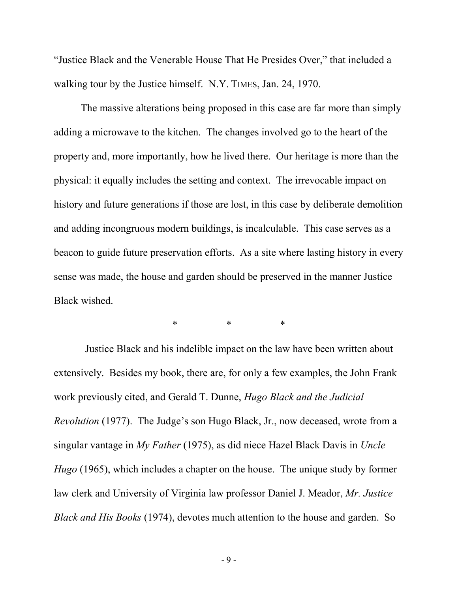"Justice Black and the Venerable House That He Presides Over," that included a walking tour by the Justice himself. N.Y. TIMES, Jan. 24, 1970.

The massive alterations being proposed in this case are far more than simply adding a microwave to the kitchen. The changes involved go to the heart of the property and, more importantly, how he lived there. Our heritage is more than the physical: it equally includes the setting and context. The irrevocable impact on history and future generations if those are lost, in this case by deliberate demolition and adding incongruous modern buildings, is incalculable. This case serves as a beacon to guide future preservation efforts. As a site where lasting history in every sense was made, the house and garden should be preserved in the manner Justice Black wished.

\* \* \*

 Justice Black and his indelible impact on the law have been written about extensively. Besides my book, there are, for only a few examples, the John Frank work previously cited, and Gerald T. Dunne, *Hugo Black and the Judicial Revolution* (1977). The Judge's son Hugo Black, Jr., now deceased, wrote from a singular vantage in *My Father* (1975), as did niece Hazel Black Davis in *Uncle Hugo* (1965), which includes a chapter on the house. The unique study by former law clerk and University of Virginia law professor Daniel J. Meador, *Mr. Justice Black and His Books* (1974), devotes much attention to the house and garden. So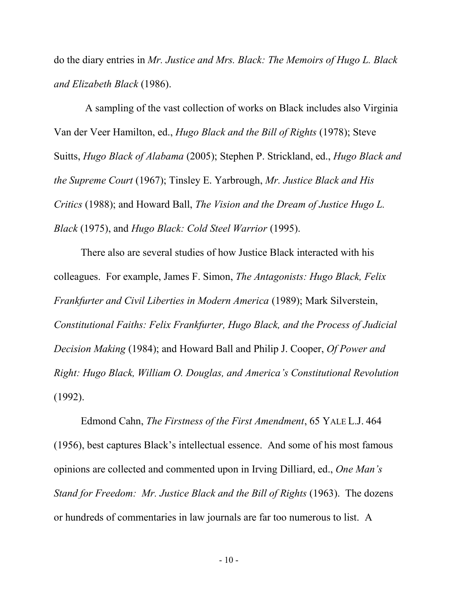do the diary entries in *Mr. Justice and Mrs. Black: The Memoirs of Hugo L. Black and Elizabeth Black* (1986).

 A sampling of the vast collection of works on Black includes also Virginia Van der Veer Hamilton, ed., *Hugo Black and the Bill of Rights* (1978); Steve Suitts, *Hugo Black of Alabama* (2005); Stephen P. Strickland, ed., *Hugo Black and the Supreme Court* (1967); Tinsley E. Yarbrough, *Mr. Justice Black and His Critics* (1988); and Howard Ball, *The Vision and the Dream of Justice Hugo L. Black* (1975), and *Hugo Black: Cold Steel Warrior* (1995).

There also are several studies of how Justice Black interacted with his colleagues. For example, James F. Simon, *The Antagonists: Hugo Black, Felix Frankfurter and Civil Liberties in Modern America* (1989); Mark Silverstein, *Constitutional Faiths: Felix Frankfurter, Hugo Black, and the Process of Judicial Decision Making* (1984); and Howard Ball and Philip J. Cooper, *Of Power and Right: Hugo Black, William O. Douglas, and America's Constitutional Revolution* (1992).

Edmond Cahn, *The Firstness of the First Amendment*, 65 YALE L.J. 464 (1956), best captures Black's intellectual essence. And some of his most famous opinions are collected and commented upon in Irving Dilliard, ed., *One Man's Stand for Freedom: Mr. Justice Black and the Bill of Rights* (1963). The dozens or hundreds of commentaries in law journals are far too numerous to list. A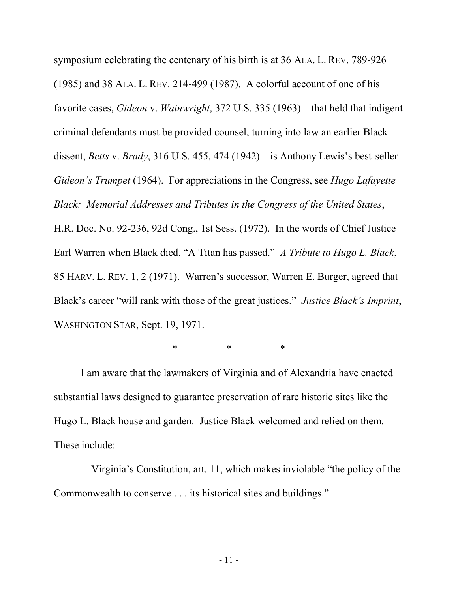symposium celebrating the centenary of his birth is at 36 ALA. L. REV. 789-926 (1985) and 38 ALA. L. REV. 214-499 (1987). A colorful account of one of his favorite cases, *Gideon* v. *Wainwright*, 372 U.S. 335 (1963)—that held that indigent criminal defendants must be provided counsel, turning into law an earlier Black dissent, *Betts* v. *Brady*, 316 U.S. 455, 474 (1942)—is Anthony Lewis's best-seller *Gideon's Trumpet* (1964). For appreciations in the Congress, see *Hugo Lafayette Black: Memorial Addresses and Tributes in the Congress of the United States*, H.R. Doc. No. 92-236, 92d Cong., 1st Sess. (1972). In the words of Chief Justice Earl Warren when Black died, "A Titan has passed." *A Tribute to Hugo L. Black*, 85 HARV. L. REV. 1, 2 (1971). Warren's successor, Warren E. Burger, agreed that Black's career "will rank with those of the great justices." *Justice Black's Imprint*, WASHINGTON STAR, Sept. 19, 1971.

\* \* \*

I am aware that the lawmakers of Virginia and of Alexandria have enacted substantial laws designed to guarantee preservation of rare historic sites like the Hugo L. Black house and garden. Justice Black welcomed and relied on them. These include:

—Virginia's Constitution, art. 11, which makes inviolable "the policy of the Commonwealth to conserve . . . its historical sites and buildings."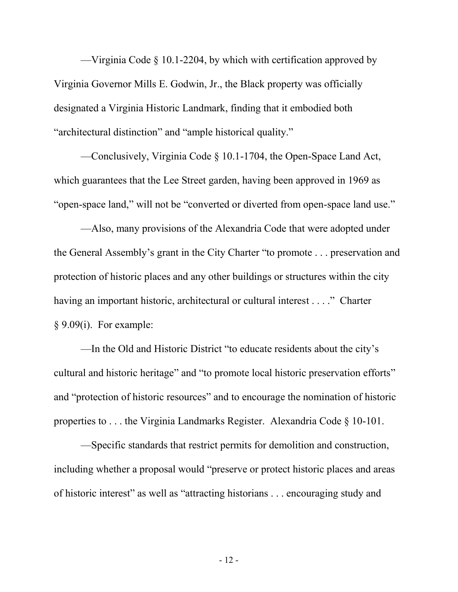—Virginia Code § 10.1-2204, by which with certification approved by Virginia Governor Mills E. Godwin, Jr., the Black property was officially designated a Virginia Historic Landmark, finding that it embodied both "architectural distinction" and "ample historical quality."

—Conclusively, Virginia Code § 10.1-1704, the Open-Space Land Act, which guarantees that the Lee Street garden, having been approved in 1969 as "open-space land," will not be "converted or diverted from open-space land use."

—Also, many provisions of the Alexandria Code that were adopted under the General Assembly's grant in the City Charter "to promote . . . preservation and protection of historic places and any other buildings or structures within the city having an important historic, architectural or cultural interest . . . ." Charter § 9.09(i). For example:

—In the Old and Historic District "to educate residents about the city's cultural and historic heritage" and "to promote local historic preservation efforts" and "protection of historic resources" and to encourage the nomination of historic properties to . . . the Virginia Landmarks Register. Alexandria Code § 10-101.

—Specific standards that restrict permits for demolition and construction, including whether a proposal would "preserve or protect historic places and areas of historic interest" as well as "attracting historians . . . encouraging study and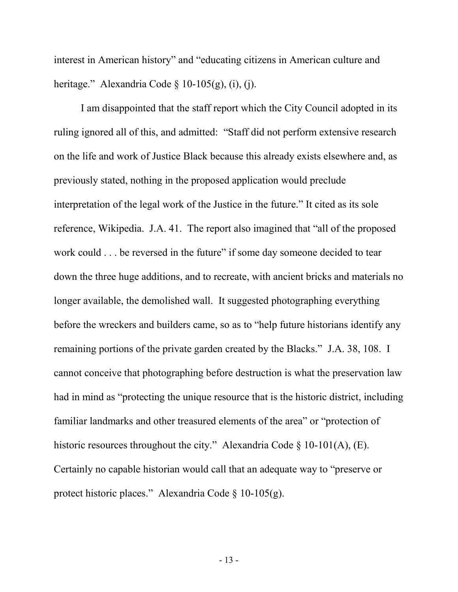interest in American history" and "educating citizens in American culture and heritage." Alexandria Code § 10-105(g), (i), (j).

I am disappointed that the staff report which the City Council adopted in its ruling ignored all of this, and admitted: "Staff did not perform extensive research on the life and work of Justice Black because this already exists elsewhere and, as previously stated, nothing in the proposed application would preclude interpretation of the legal work of the Justice in the future." It cited as its sole reference, Wikipedia. J.A. 41. The report also imagined that "all of the proposed work could . . . be reversed in the future" if some day someone decided to tear down the three huge additions, and to recreate, with ancient bricks and materials no longer available, the demolished wall. It suggested photographing everything before the wreckers and builders came, so as to "help future historians identify any remaining portions of the private garden created by the Blacks." J.A. 38, 108. I cannot conceive that photographing before destruction is what the preservation law had in mind as "protecting the unique resource that is the historic district, including familiar landmarks and other treasured elements of the area" or "protection of historic resources throughout the city." Alexandria Code § 10-101(A), (E). Certainly no capable historian would call that an adequate way to "preserve or protect historic places." Alexandria Code § 10-105(g).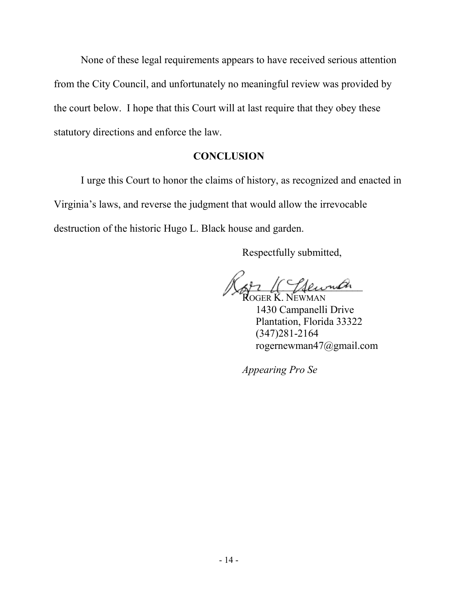None of these legal requirements appears to have received serious attention from the City Council, and unfortunately no meaningful review was provided by the court below. I hope that this Court will at last require that they obey these statutory directions and enforce the law.

#### **CONCLUSION**

I urge this Court to honor the claims of history, as recognized and enacted in Virginia's laws, and reverse the judgment that would allow the irrevocable destruction of the historic Hugo L. Black house and garden.

Respectfully submitted,

 $_{\neg\negthinspace u}\!\mathscr{O}_{\negthinspace\Lambda}$ 

ROGER K. NEWMAN 1430 Campanelli Drive Plantation, Florida 33322 (347)281-2164 rogernewman47@gmail.com

*Appearing Pro Se*